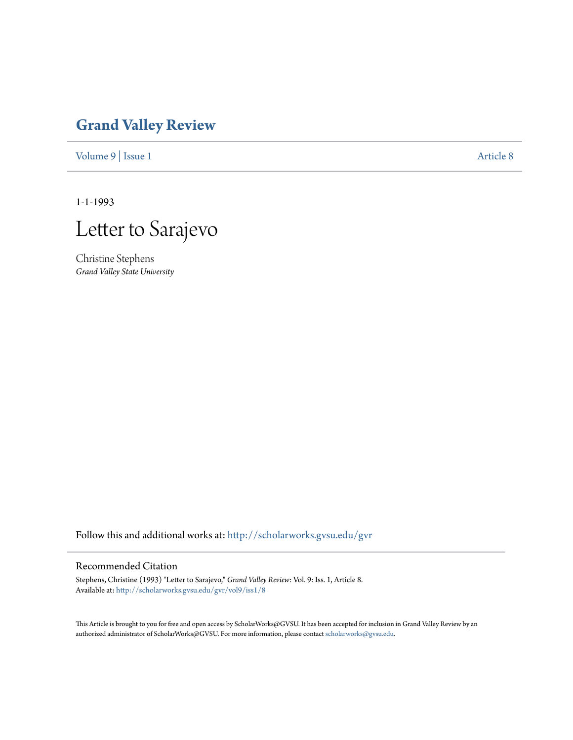## **[Grand Valley Review](http://scholarworks.gvsu.edu/gvr?utm_source=scholarworks.gvsu.edu%2Fgvr%2Fvol9%2Fiss1%2F8&utm_medium=PDF&utm_campaign=PDFCoverPages)**

[Volume 9](http://scholarworks.gvsu.edu/gvr/vol9?utm_source=scholarworks.gvsu.edu%2Fgvr%2Fvol9%2Fiss1%2F8&utm_medium=PDF&utm_campaign=PDFCoverPages) | [Issue 1](http://scholarworks.gvsu.edu/gvr/vol9/iss1?utm_source=scholarworks.gvsu.edu%2Fgvr%2Fvol9%2Fiss1%2F8&utm_medium=PDF&utm_campaign=PDFCoverPages) [Article 8](http://scholarworks.gvsu.edu/gvr/vol9/iss1/8?utm_source=scholarworks.gvsu.edu%2Fgvr%2Fvol9%2Fiss1%2F8&utm_medium=PDF&utm_campaign=PDFCoverPages)

1-1-1993



Christine Stephens *Grand Valley State University*

Follow this and additional works at: [http://scholarworks.gvsu.edu/gvr](http://scholarworks.gvsu.edu/gvr?utm_source=scholarworks.gvsu.edu%2Fgvr%2Fvol9%2Fiss1%2F8&utm_medium=PDF&utm_campaign=PDFCoverPages)

## Recommended Citation

Stephens, Christine (1993) "Letter to Sarajevo," *Grand Valley Review*: Vol. 9: Iss. 1, Article 8. Available at: [http://scholarworks.gvsu.edu/gvr/vol9/iss1/8](http://scholarworks.gvsu.edu/gvr/vol9/iss1/8?utm_source=scholarworks.gvsu.edu%2Fgvr%2Fvol9%2Fiss1%2F8&utm_medium=PDF&utm_campaign=PDFCoverPages)

This Article is brought to you for free and open access by ScholarWorks@GVSU. It has been accepted for inclusion in Grand Valley Review by an authorized administrator of ScholarWorks@GVSU. For more information, please contact [scholarworks@gvsu.edu.](mailto:scholarworks@gvsu.edu)